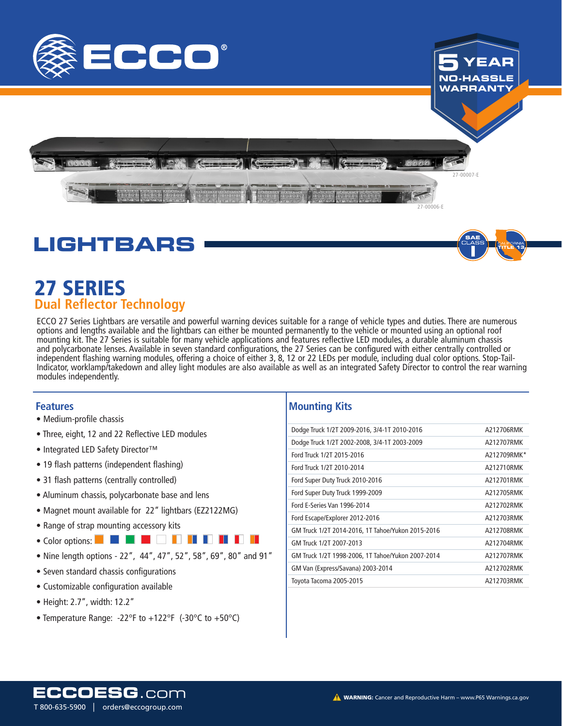



27-00007-E

27-00006-E



## 27 SERIES 27 SERIES **Dual Reflector Technology**

ECCO 27 Series Lightbars are versatile and powerful warning devices suitable for a range of vehicle types and duties. There are numerous options and lengths available and the lightbars can either be mounted permanently to the vehicle or mounted using an optional roof mounting kit. The 27 Series is suitable for many vehicle applications and features reflective LED modules, a durable aluminum chassis and polycarbonate lenses. Available in seven standard configurations, the 27 Series can be configured with either centrally controlled or independent flashing warning modules, offering a choice of either 3, 8, 12 or 22 LEDs per module, including dual color options. Stop-Tail-Indicator, worklamp/takedown and alley light modules are also available as well as an integrated Safety Director to control the rear warning modules independently.

#### **Features**

- Medium-profile chassis
- Three, eight, 12 and 22 Reflective LED modules
- Integrated LED Safety Director™
- 19 flash patterns (independent flashing)
- 31 flash patterns (centrally controlled)
- Aluminum chassis, polycarbonate base and lens
- Magnet mount available for 22" lightbars (EZ2122MG)
- Range of strap mounting accessory kits
- Color options: **EXPLES EXPLES EXPLES**
- Nine length options 22", 44", 47", 52", 58", 69", 80" and 91"
- Seven standard chassis configurations
- Customizable configuration available
- Height: 2.7", width: 12.2"
- Temperature Range: -22°F to +122°F (-30°C to +50°C)

#### **Mounting Kits**

| Dodge Truck 1/2T 2009-2016, 3/4-1T 2010-2016      | A212706RMK  |
|---------------------------------------------------|-------------|
| Dodge Truck 1/2T 2002-2008, 3/4-1T 2003-2009      | A212707RMK  |
| Ford Truck 1/2T 2015-2016                         | A212709RMK* |
| Ford Truck 1/2T 2010-2014                         | A212710RMK  |
| Ford Super Duty Truck 2010-2016                   | A212701RMK  |
| Ford Super Duty Truck 1999-2009                   | A212705RMK  |
| <b>Ford E-Series Van 1996-2014</b>                | A212702RMK  |
| Ford Escape/Explorer 2012-2016                    | A212703RMK  |
| GM Truck 1/2T 2014-2016, 1T Tahoe/Yukon 2015-2016 | A212708RMK  |
| GM Truck 1/2T 2007-2013                           | A212704RMK  |
| GM Truck 1/2T 1998-2006, 1T Tahoe/Yukon 2007-2014 | A212707RMK  |
| GM Van (Express/Savana) 2003-2014                 | A212702RMK  |
| Toyota Tacoma 2005-2015                           | A212703RMK  |